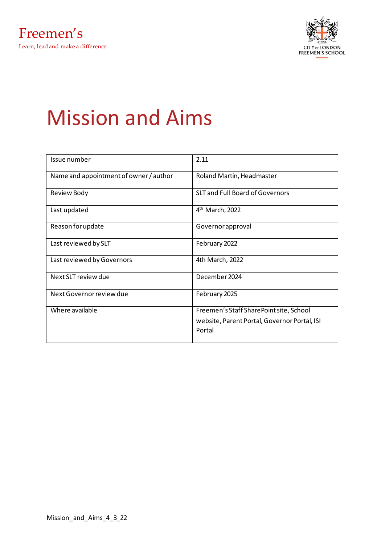

# Mission and Aims

| Issue number                           | 2.11                                         |
|----------------------------------------|----------------------------------------------|
| Name and appointment of owner / author | Roland Martin, Headmaster                    |
| Review Body                            | <b>SLT and Full Board of Governors</b>       |
| Last updated                           | $4th$ March, 2022                            |
| Reason for update                      | Governor approval                            |
| Last reviewed by SLT                   | February 2022                                |
| Last reviewed by Governors             | 4th March, 2022                              |
| Next SLT review due                    | December 2024                                |
| Next Governor review due               | February 2025                                |
| Where available                        | Freemen's Staff SharePoint site, School      |
|                                        | website, Parent Portal, Governor Portal, ISI |
|                                        | Portal                                       |
|                                        |                                              |